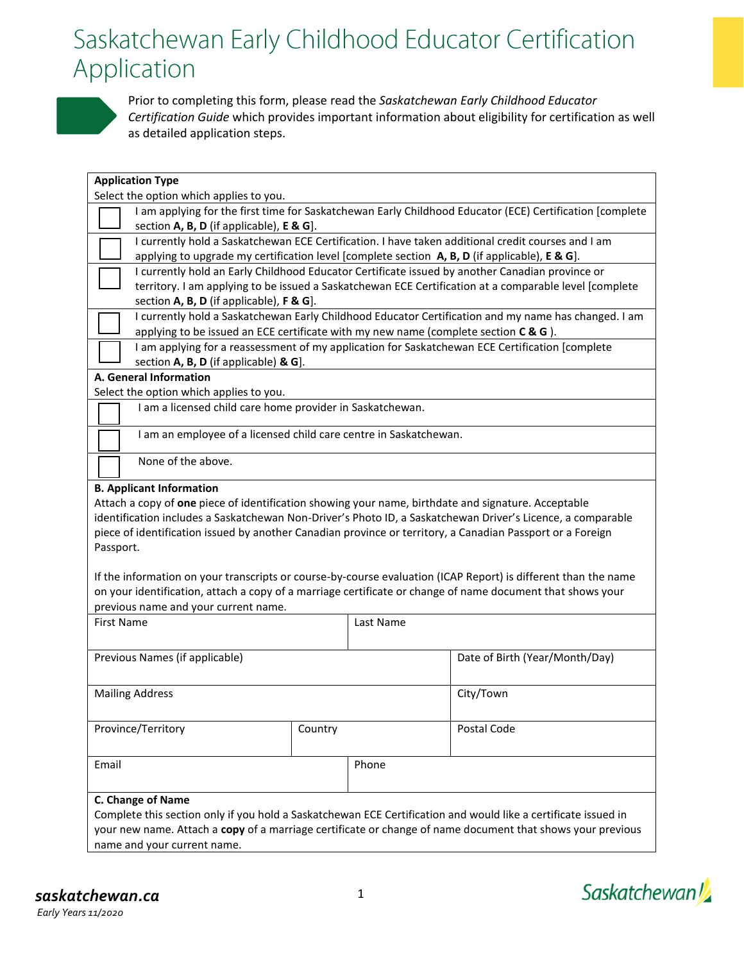## Saskatchewan Early Childhood Educator Certification Application



Prior to completing this form, please read the *Saskatchewan Early Childhood Educator Certification Guide* which provides important information about eligibility for certification as well as detailed application steps.

| <b>Application Type</b>                                                                                                                                                                        |                                                                                                            |           |                                                                                                          |  |  |  |  |  |
|------------------------------------------------------------------------------------------------------------------------------------------------------------------------------------------------|------------------------------------------------------------------------------------------------------------|-----------|----------------------------------------------------------------------------------------------------------|--|--|--|--|--|
| Select the option which applies to you.                                                                                                                                                        |                                                                                                            |           |                                                                                                          |  |  |  |  |  |
|                                                                                                                                                                                                |                                                                                                            |           | I am applying for the first time for Saskatchewan Early Childhood Educator (ECE) Certification [complete |  |  |  |  |  |
|                                                                                                                                                                                                | section A, B, D (if applicable), E & G].                                                                   |           |                                                                                                          |  |  |  |  |  |
|                                                                                                                                                                                                | I currently hold a Saskatchewan ECE Certification. I have taken additional credit courses and I am         |           |                                                                                                          |  |  |  |  |  |
| applying to upgrade my certification level [complete section A, B, D (if applicable), E & G].                                                                                                  |                                                                                                            |           |                                                                                                          |  |  |  |  |  |
| I currently hold an Early Childhood Educator Certificate issued by another Canadian province or                                                                                                |                                                                                                            |           |                                                                                                          |  |  |  |  |  |
| territory. I am applying to be issued a Saskatchewan ECE Certification at a comparable level [complete                                                                                         |                                                                                                            |           |                                                                                                          |  |  |  |  |  |
| section A, B, D (if applicable), F & G].                                                                                                                                                       |                                                                                                            |           |                                                                                                          |  |  |  |  |  |
| I currently hold a Saskatchewan Early Childhood Educator Certification and my name has changed. I am<br>applying to be issued an ECE certificate with my new name (complete section $C & G$ ). |                                                                                                            |           |                                                                                                          |  |  |  |  |  |
|                                                                                                                                                                                                |                                                                                                            |           | I am applying for a reassessment of my application for Saskatchewan ECE Certification [complete          |  |  |  |  |  |
| section A, B, D (if applicable) & G].                                                                                                                                                          |                                                                                                            |           |                                                                                                          |  |  |  |  |  |
| A. General Information                                                                                                                                                                         |                                                                                                            |           |                                                                                                          |  |  |  |  |  |
| Select the option which applies to you.                                                                                                                                                        |                                                                                                            |           |                                                                                                          |  |  |  |  |  |
| I am a licensed child care home provider in Saskatchewan.                                                                                                                                      |                                                                                                            |           |                                                                                                          |  |  |  |  |  |
|                                                                                                                                                                                                |                                                                                                            |           |                                                                                                          |  |  |  |  |  |
| I am an employee of a licensed child care centre in Saskatchewan.                                                                                                                              |                                                                                                            |           |                                                                                                          |  |  |  |  |  |
| None of the above.                                                                                                                                                                             |                                                                                                            |           |                                                                                                          |  |  |  |  |  |
|                                                                                                                                                                                                |                                                                                                            |           |                                                                                                          |  |  |  |  |  |
| <b>B. Applicant Information</b>                                                                                                                                                                |                                                                                                            |           |                                                                                                          |  |  |  |  |  |
| Attach a copy of one piece of identification showing your name, birthdate and signature. Acceptable                                                                                            |                                                                                                            |           |                                                                                                          |  |  |  |  |  |
| identification includes a Saskatchewan Non-Driver's Photo ID, a Saskatchewan Driver's Licence, a comparable                                                                                    |                                                                                                            |           |                                                                                                          |  |  |  |  |  |
| piece of identification issued by another Canadian province or territory, a Canadian Passport or a Foreign                                                                                     |                                                                                                            |           |                                                                                                          |  |  |  |  |  |
| Passport.                                                                                                                                                                                      |                                                                                                            |           |                                                                                                          |  |  |  |  |  |
|                                                                                                                                                                                                |                                                                                                            |           |                                                                                                          |  |  |  |  |  |
| If the information on your transcripts or course-by-course evaluation (ICAP Report) is different than the name                                                                                 |                                                                                                            |           |                                                                                                          |  |  |  |  |  |
| on your identification, attach a copy of a marriage certificate or change of name document that shows your                                                                                     |                                                                                                            |           |                                                                                                          |  |  |  |  |  |
| previous name and your current name.                                                                                                                                                           |                                                                                                            |           |                                                                                                          |  |  |  |  |  |
| <b>First Name</b>                                                                                                                                                                              |                                                                                                            | Last Name |                                                                                                          |  |  |  |  |  |
|                                                                                                                                                                                                |                                                                                                            |           |                                                                                                          |  |  |  |  |  |
| Previous Names (if applicable)                                                                                                                                                                 |                                                                                                            |           | Date of Birth (Year/Month/Day)                                                                           |  |  |  |  |  |
|                                                                                                                                                                                                |                                                                                                            |           |                                                                                                          |  |  |  |  |  |
| <b>Mailing Address</b>                                                                                                                                                                         |                                                                                                            |           | City/Town                                                                                                |  |  |  |  |  |
|                                                                                                                                                                                                |                                                                                                            |           |                                                                                                          |  |  |  |  |  |
|                                                                                                                                                                                                |                                                                                                            |           |                                                                                                          |  |  |  |  |  |
| Province/Territory                                                                                                                                                                             | Country                                                                                                    |           | Postal Code                                                                                              |  |  |  |  |  |
|                                                                                                                                                                                                |                                                                                                            |           |                                                                                                          |  |  |  |  |  |
| Email                                                                                                                                                                                          |                                                                                                            | Phone     |                                                                                                          |  |  |  |  |  |
|                                                                                                                                                                                                |                                                                                                            |           |                                                                                                          |  |  |  |  |  |
| C. Change of Name                                                                                                                                                                              |                                                                                                            |           |                                                                                                          |  |  |  |  |  |
| Complete this section only if you hold a Saskatchewan ECE Certification and would like a certificate issued in                                                                                 |                                                                                                            |           |                                                                                                          |  |  |  |  |  |
|                                                                                                                                                                                                | your new name. Attach a copy of a marriage certificate or change of name document that shows your previous |           |                                                                                                          |  |  |  |  |  |
| name and your current name.                                                                                                                                                                    |                                                                                                            |           |                                                                                                          |  |  |  |  |  |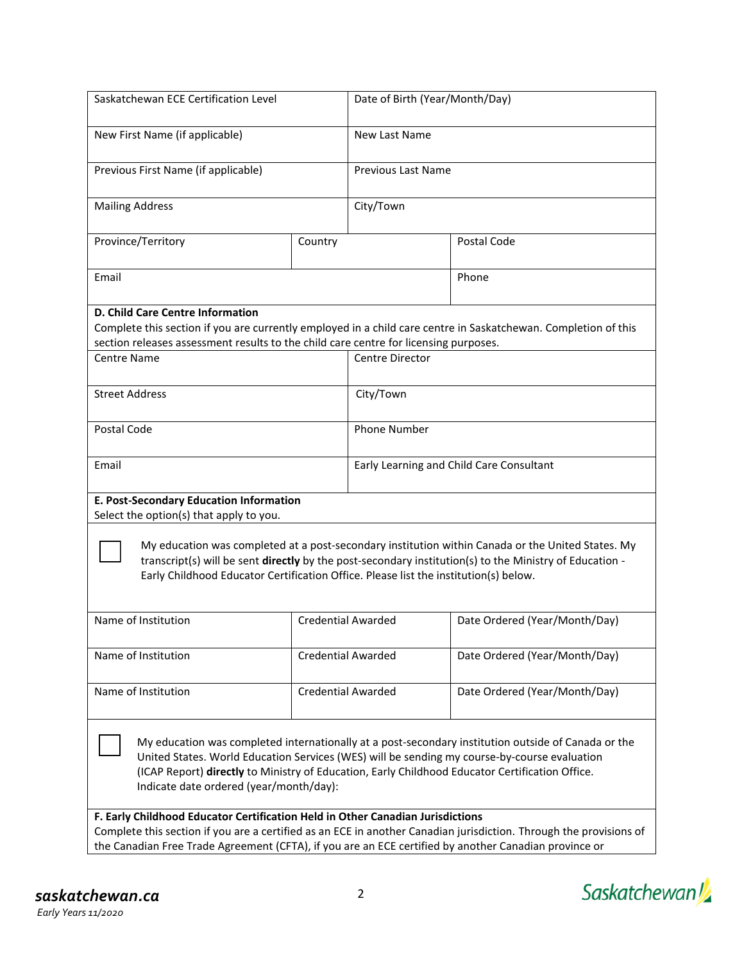| Saskatchewan ECE Certification Level                                                                                                                                                                                                                                                                                                              |                           | Date of Birth (Year/Month/Day)           |                               |  |  |  |  |
|---------------------------------------------------------------------------------------------------------------------------------------------------------------------------------------------------------------------------------------------------------------------------------------------------------------------------------------------------|---------------------------|------------------------------------------|-------------------------------|--|--|--|--|
| New First Name (if applicable)                                                                                                                                                                                                                                                                                                                    |                           | New Last Name                            |                               |  |  |  |  |
| Previous First Name (if applicable)                                                                                                                                                                                                                                                                                                               |                           | <b>Previous Last Name</b>                |                               |  |  |  |  |
| <b>Mailing Address</b>                                                                                                                                                                                                                                                                                                                            |                           | City/Town                                |                               |  |  |  |  |
| Province/Territory                                                                                                                                                                                                                                                                                                                                | Country                   |                                          | Postal Code                   |  |  |  |  |
| Email                                                                                                                                                                                                                                                                                                                                             |                           |                                          | Phone                         |  |  |  |  |
| D. Child Care Centre Information<br>Complete this section if you are currently employed in a child care centre in Saskatchewan. Completion of this<br>section releases assessment results to the child care centre for licensing purposes.<br><b>Centre Name</b><br>Centre Director                                                               |                           |                                          |                               |  |  |  |  |
| <b>Street Address</b>                                                                                                                                                                                                                                                                                                                             |                           | City/Town                                |                               |  |  |  |  |
| Postal Code                                                                                                                                                                                                                                                                                                                                       |                           | <b>Phone Number</b>                      |                               |  |  |  |  |
| Email                                                                                                                                                                                                                                                                                                                                             |                           | Early Learning and Child Care Consultant |                               |  |  |  |  |
| E. Post-Secondary Education Information<br>Select the option(s) that apply to you.                                                                                                                                                                                                                                                                |                           |                                          |                               |  |  |  |  |
| My education was completed at a post-secondary institution within Canada or the United States. My<br>transcript(s) will be sent directly by the post-secondary institution(s) to the Ministry of Education -<br>Early Childhood Educator Certification Office. Please list the institution(s) below.                                              |                           |                                          |                               |  |  |  |  |
| Name of Institution                                                                                                                                                                                                                                                                                                                               |                           | <b>Credential Awarded</b>                | Date Ordered (Year/Month/Day) |  |  |  |  |
| Name of Institution                                                                                                                                                                                                                                                                                                                               | <b>Credential Awarded</b> |                                          | Date Ordered (Year/Month/Day) |  |  |  |  |
| Name of Institution                                                                                                                                                                                                                                                                                                                               | <b>Credential Awarded</b> |                                          | Date Ordered (Year/Month/Day) |  |  |  |  |
| My education was completed internationally at a post-secondary institution outside of Canada or the<br>United States. World Education Services (WES) will be sending my course-by-course evaluation<br>(ICAP Report) directly to Ministry of Education, Early Childhood Educator Certification Office.<br>Indicate date ordered (year/month/day): |                           |                                          |                               |  |  |  |  |
| F. Early Childhood Educator Certification Held in Other Canadian Jurisdictions<br>Complete this section if you are a certified as an ECE in another Canadian jurisdiction. Through the provisions of<br>the Canadian Free Trade Agreement (CFTA), if you are an ECE certified by another Canadian province or                                     |                           |                                          |                               |  |  |  |  |